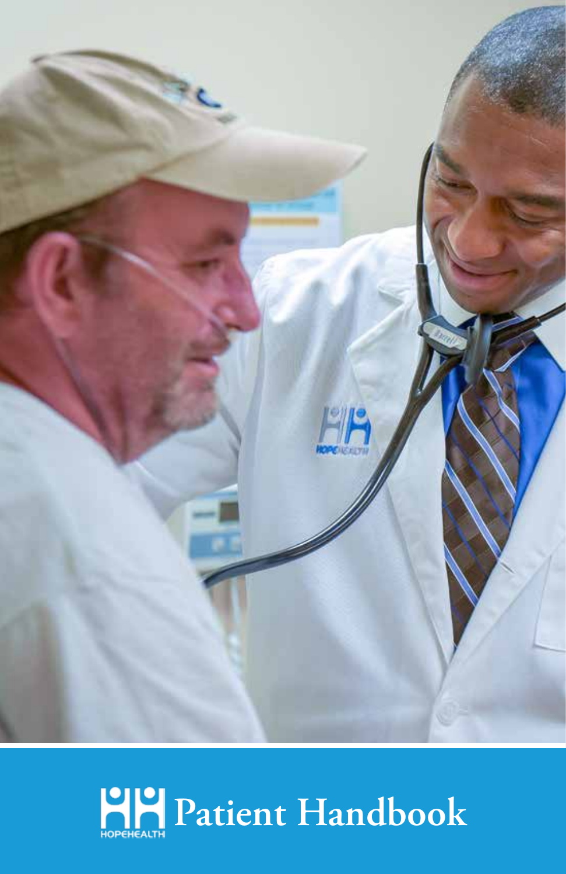

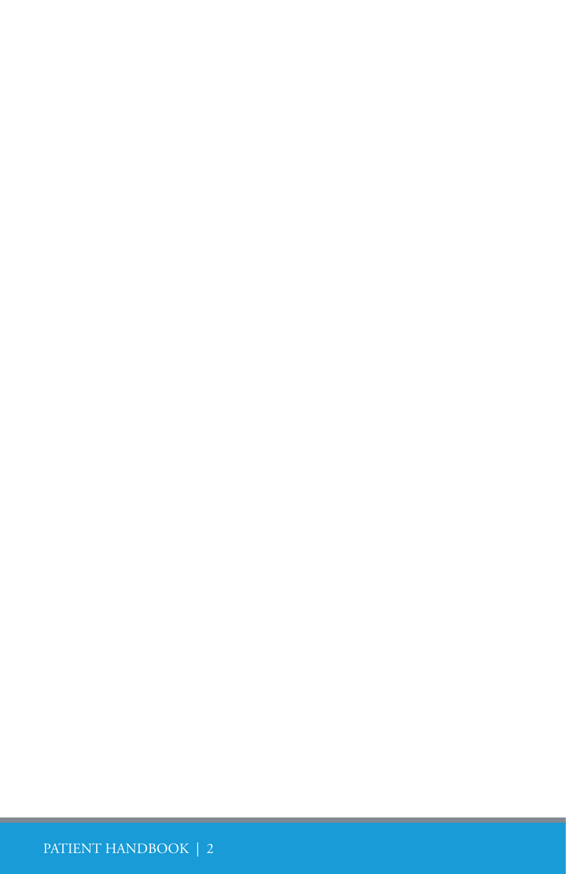PATIENT HANDBOOK | 2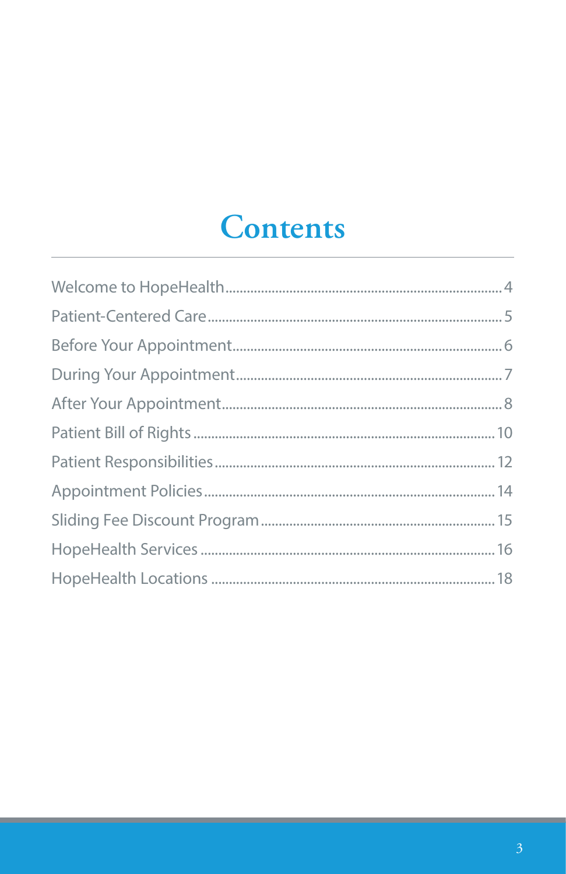### **Contents**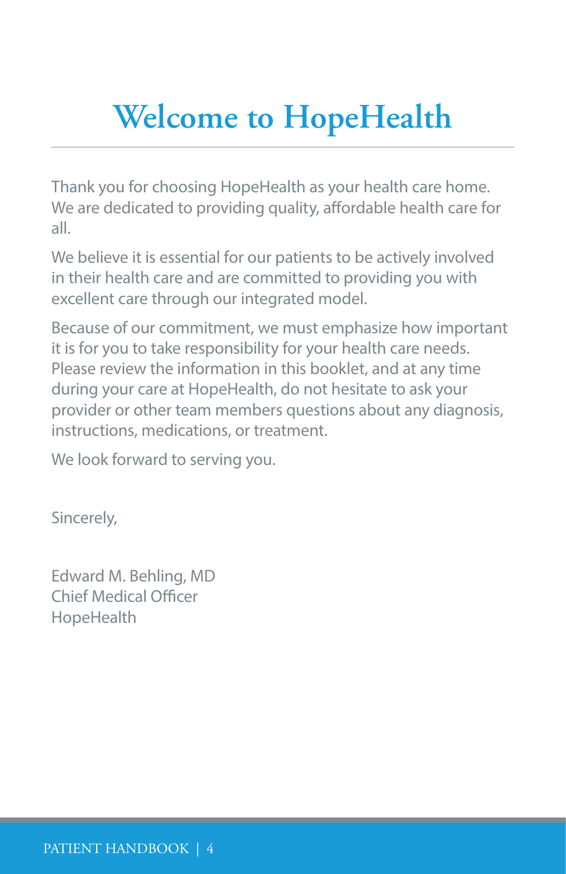## **Welcome to HopeHealth**

Thank you for choosing HopeHealth as your health care home. We are dedicated to providing quality, affordable health care for all.

We believe it is essential for our patients to be actively involved in their health care and are committed to providing you with excellent care through our integrated model.

Because of our commitment, we must emphasize how important it is for you to take responsibility for your health care needs. Please review the information in this booklet, and at any time during your care at HopeHealth, do not hesitate to ask your provider or other team members questions about any diagnosis, instructions, medications, or treatment.

We look forward to serving you.

Sincerely,

Edward M. Behling, MD Chief Medical Officer HopeHealth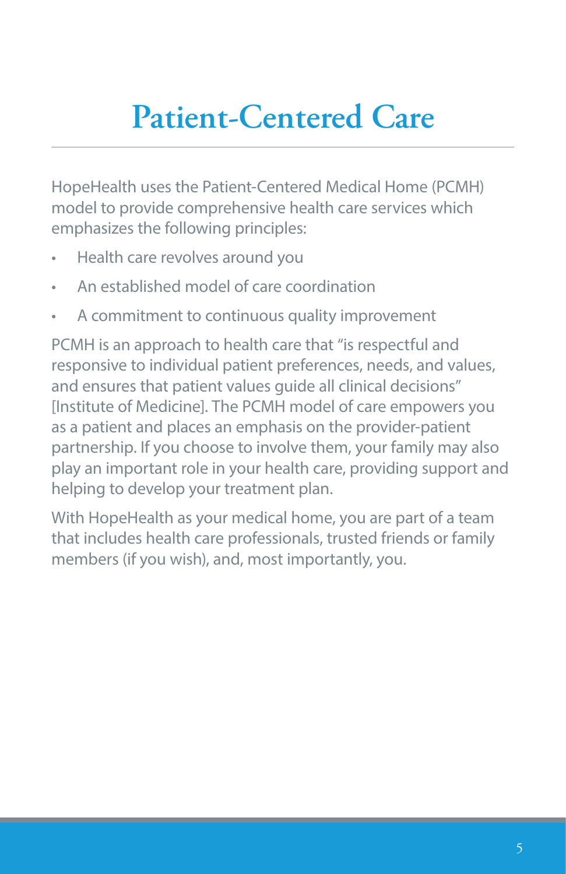## **Patient-Centered Care**

HopeHealth uses the Patient-Centered Medical Home (PCMH) model to provide comprehensive health care services which emphasizes the following principles:

- Health care revolves around you
- An established model of care coordination
- A commitment to continuous quality improvement

PCMH is an approach to health care that "is respectful and responsive to individual patient preferences, needs, and values, and ensures that patient values guide all clinical decisions" [Institute of Medicine]. The PCMH model of care empowers you as a patient and places an emphasis on the provider-patient partnership. If you choose to involve them, your family may also play an important role in your health care, providing support and helping to develop your treatment plan.

With HopeHealth as your medical home, you are part of a team that includes health care professionals, trusted friends or family members (if you wish), and, most importantly, you.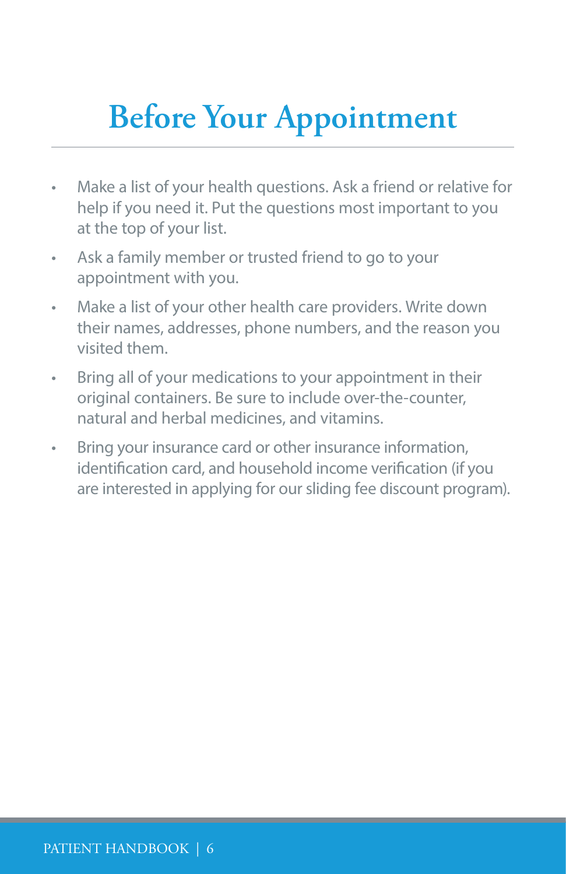### **Before Your Appointment**

- Make a list of your health questions. Ask a friend or relative for help if you need it. Put the questions most important to you at the top of your list.
- Ask a family member or trusted friend to go to your appointment with you.
- Make a list of your other health care providers. Write down their names, addresses, phone numbers, and the reason you visited them.
- Bring all of your medications to your appointment in their original containers. Be sure to include over-the-counter, natural and herbal medicines, and vitamins.
- Bring your insurance card or other insurance information, identification card, and household income verification (if you are interested in applying for our sliding fee discount program).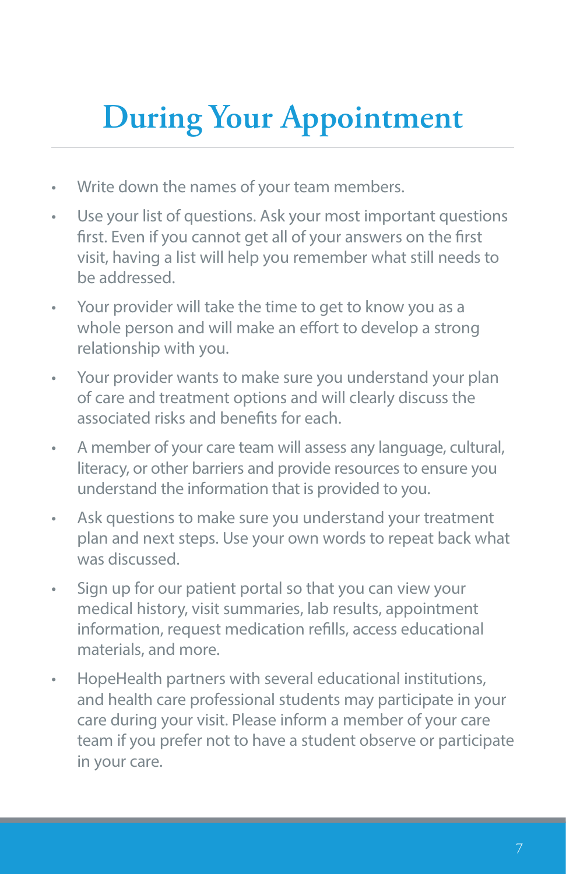# **During Your Appointment**

- Write down the names of your team members.
- Use your list of questions. Ask your most important questions first. Even if you cannot get all of your answers on the first visit, having a list will help you remember what still needs to be addressed.
- Your provider will take the time to get to know you as a whole person and will make an effort to develop a strong relationship with you.
- Your provider wants to make sure you understand your plan of care and treatment options and will clearly discuss the associated risks and benefits for each.
- A member of your care team will assess any language, cultural, literacy, or other barriers and provide resources to ensure you understand the information that is provided to you.
- Ask questions to make sure you understand your treatment plan and next steps. Use your own words to repeat back what was discussed.
- Sign up for our patient portal so that you can view your medical history, visit summaries, lab results, appointment information, request medication refills, access educational materials, and more.
- HopeHealth partners with several educational institutions, and health care professional students may participate in your care during your visit. Please inform a member of your care team if you prefer not to have a student observe or participate in your care.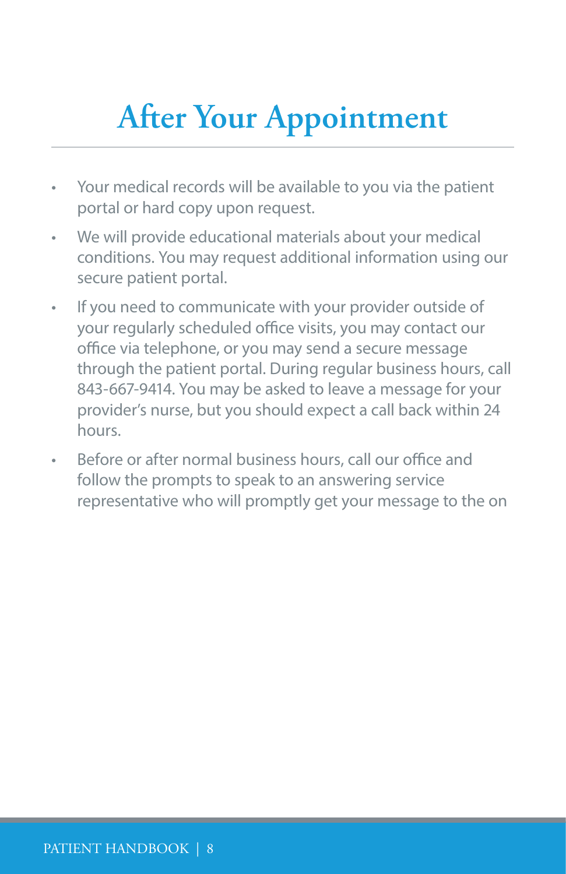# **After Your Appointment**

- Your medical records will be available to you via the patient portal or hard copy upon request.
- We will provide educational materials about your medical conditions. You may request additional information using our secure patient portal.
- If you need to communicate with your provider outside of your regularly scheduled office visits, you may contact our office via telephone, or you may send a secure message through the patient portal. During regular business hours, call 843-667-9414. You may be asked to leave a message for your provider's nurse, but you should expect a call back within 24 hours.
- Before or after normal business hours, call our office and follow the prompts to speak to an answering service representative who will promptly get your message to the on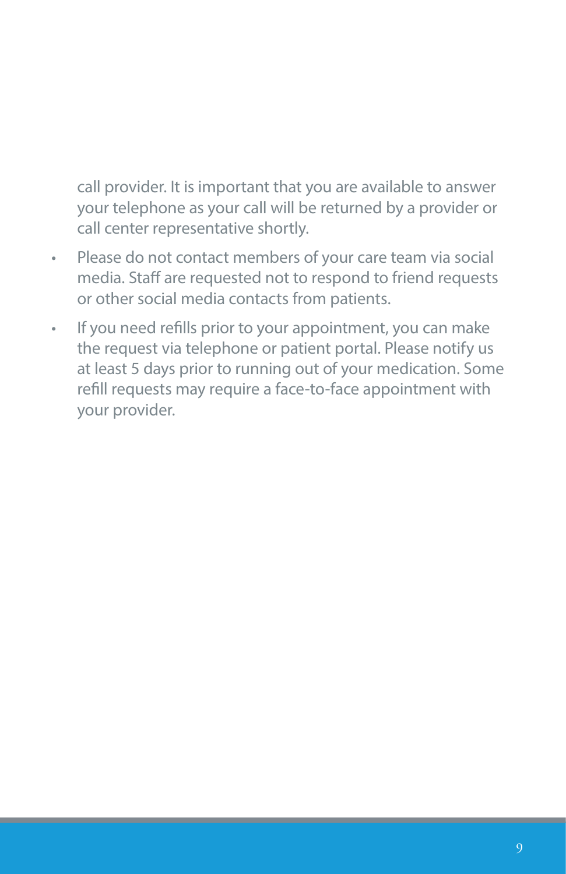call provider. It is important that you are available to answer your telephone as your call will be returned by a provider or call center representative shortly.

- Please do not contact members of your care team via social media. Staff are requested not to respond to friend requests or other social media contacts from patients.
- If you need refills prior to your appointment, you can make the request via telephone or patient portal. Please notify us at least 5 days prior to running out of your medication. Some refill requests may require a face-to-face appointment with your provider.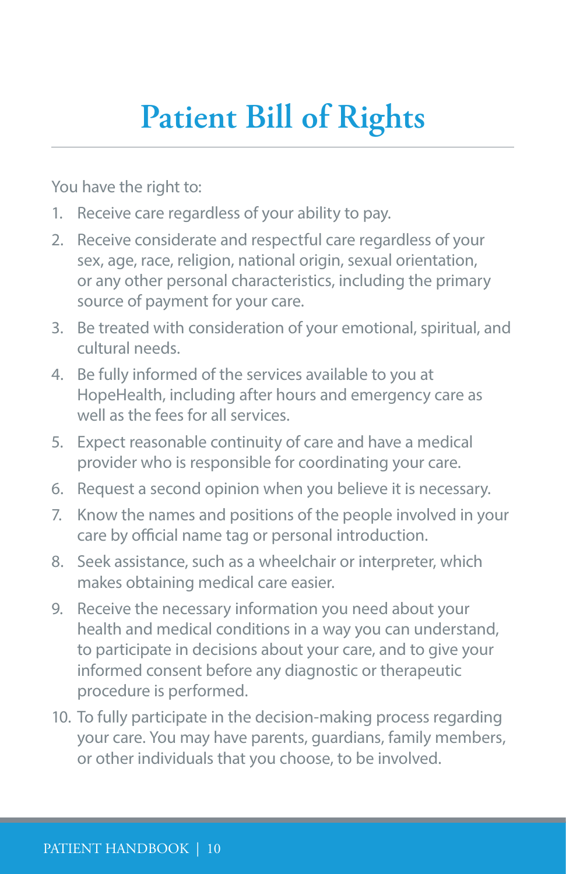# **Patient Bill of Rights**

You have the right to:

- 1. Receive care regardless of your ability to pay.
- 2. Receive considerate and respectful care regardless of your sex, age, race, religion, national origin, sexual orientation, or any other personal characteristics, including the primary source of payment for your care.
- 3. Be treated with consideration of your emotional, spiritual, and cultural needs.
- 4. Be fully informed of the services available to you at HopeHealth, including after hours and emergency care as well as the fees for all services.
- 5. Expect reasonable continuity of care and have a medical provider who is responsible for coordinating your care.
- 6. Request a second opinion when you believe it is necessary.
- 7. Know the names and positions of the people involved in your care by official name tag or personal introduction.
- 8. Seek assistance, such as a wheelchair or interpreter, which makes obtaining medical care easier.
- 9. Receive the necessary information you need about your health and medical conditions in a way you can understand, to participate in decisions about your care, and to give your informed consent before any diagnostic or therapeutic procedure is performed.
- 10. To fully participate in the decision-making process regarding your care. You may have parents, guardians, family members, or other individuals that you choose, to be involved.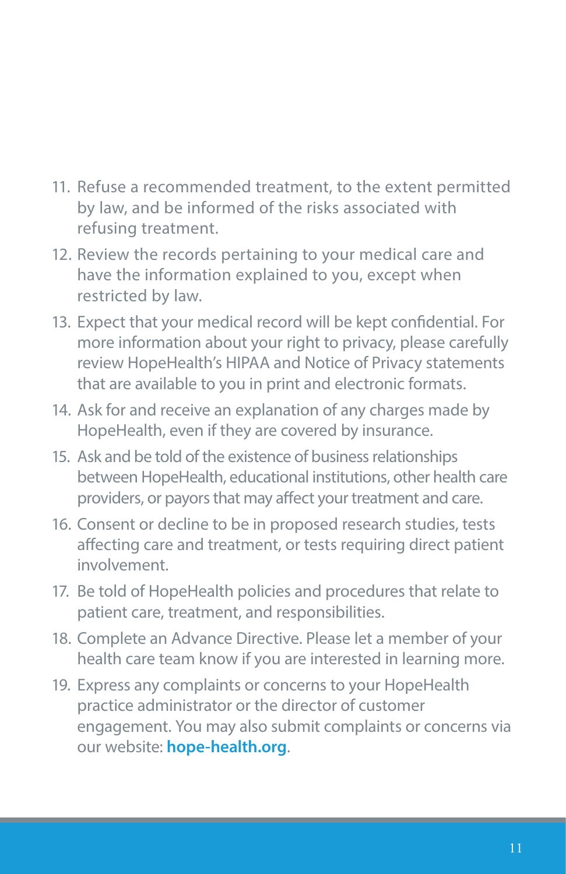- 11. Refuse a recommended treatment, to the extent permitted by law, and be informed of the risks associated with refusing treatment.
- 12. Review the records pertaining to your medical care and have the information explained to you, except when restricted by law.
- 13. Expect that your medical record will be kept confidential. For more information about your right to privacy, please carefully review HopeHealth's HIPAA and Notice of Privacy statements that are available to you in print and electronic formats.
- 14. Ask for and receive an explanation of any charges made by HopeHealth, even if they are covered by insurance.
- 15. Ask and be told of the existence of business relationships between HopeHealth, educational institutions, other health care providers, or payors that may affect your treatment and care.
- 16. Consent or decline to be in proposed research studies, tests affecting care and treatment, or tests requiring direct patient involvement.
- 17. Be told of HopeHealth policies and procedures that relate to patient care, treatment, and responsibilities.
- 18. Complete an Advance Directive. Please let a member of your health care team know if you are interested in learning more.
- 19. Express any complaints or concerns to your HopeHealth practice administrator or the director of customer engagement. You may also submit complaints or concerns via our website: **hope-health.org**.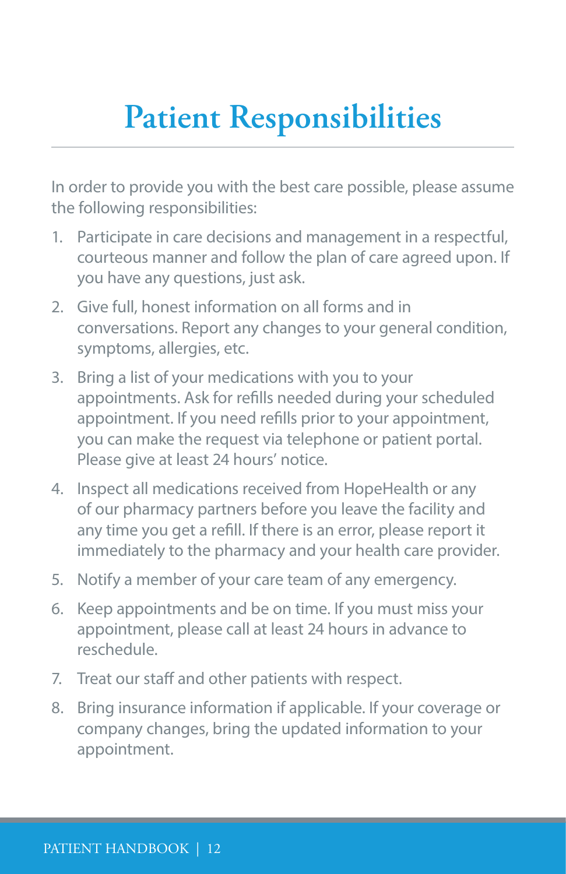# **Patient Responsibilities**

In order to provide you with the best care possible, please assume the following responsibilities:

- 1. Participate in care decisions and management in a respectful, courteous manner and follow the plan of care agreed upon. If you have any questions, just ask.
- 2. Give full, honest information on all forms and in conversations. Report any changes to your general condition, symptoms, allergies, etc.
- 3. Bring a list of your medications with you to your appointments. Ask for refills needed during your scheduled appointment. If you need refills prior to your appointment, you can make the request via telephone or patient portal. Please give at least 24 hours' notice.
- 4. Inspect all medications received from HopeHealth or any of our pharmacy partners before you leave the facility and any time you get a refill. If there is an error, please report it immediately to the pharmacy and your health care provider.
- 5. Notify a member of your care team of any emergency.
- 6. Keep appointments and be on time. If you must miss your appointment, please call at least 24 hours in advance to reschedule.
- 7. Treat our staff and other patients with respect.
- 8. Bring insurance information if applicable. If your coverage or company changes, bring the updated information to your appointment.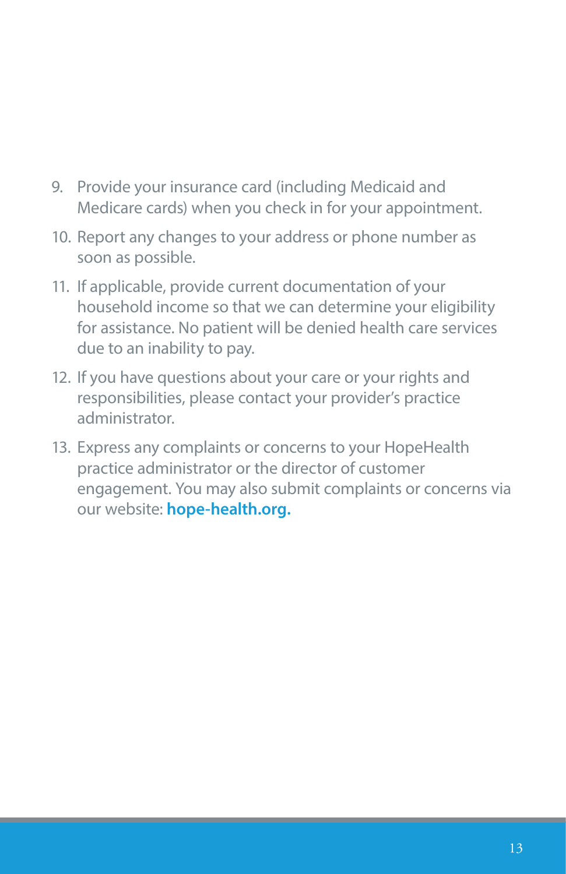- 9. Provide your insurance card (including Medicaid and Medicare cards) when you check in for your appointment.
- 10. Report any changes to your address or phone number as soon as possible.
- 11. If applicable, provide current documentation of your household income so that we can determine your eligibility for assistance. No patient will be denied health care services due to an inability to pay.
- 12. If you have questions about your care or your rights and responsibilities, please contact your provider's practice administrator.
- 13. Express any complaints or concerns to your HopeHealth practice administrator or the director of customer engagement. You may also submit complaints or concerns via our website: **hope-health.org.**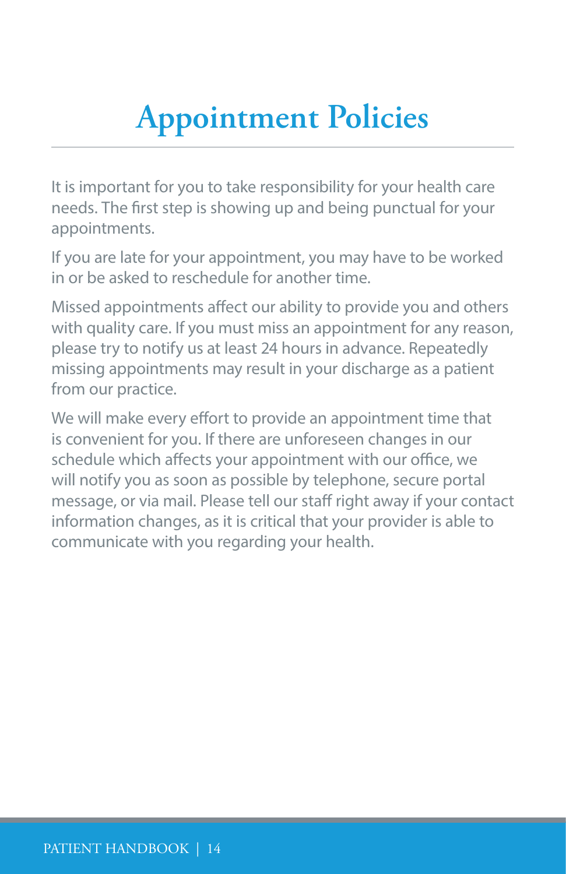# **Appointment Policies**

It is important for you to take responsibility for your health care needs. The first step is showing up and being punctual for your appointments.

If you are late for your appointment, you may have to be worked in or be asked to reschedule for another time.

Missed appointments affect our ability to provide you and others with quality care. If you must miss an appointment for any reason, please try to notify us at least 24 hours in advance. Repeatedly missing appointments may result in your discharge as a patient from our practice.

We will make every effort to provide an appointment time that is convenient for you. If there are unforeseen changes in our schedule which affects your appointment with our office, we will notify you as soon as possible by telephone, secure portal message, or via mail. Please tell our staff right away if your contact information changes, as it is critical that your provider is able to communicate with you regarding your health.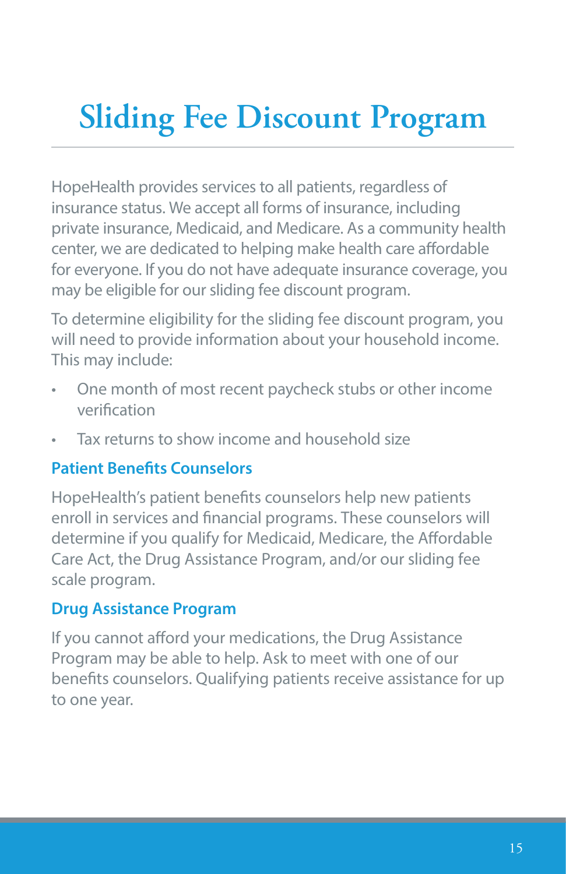# **Sliding Fee Discount Program**

HopeHealth provides services to all patients, regardless of insurance status. We accept all forms of insurance, including private insurance, Medicaid, and Medicare. As a community health center, we are dedicated to helping make health care affordable for everyone. If you do not have adequate insurance coverage, you may be eligible for our sliding fee discount program.

To determine eligibility for the sliding fee discount program, you will need to provide information about your household income. This may include:

- One month of most recent paycheck stubs or other income verification
- Tax returns to show income and household size

### **Patient Benefits Counselors**

HopeHealth's patient benefits counselors help new patients enroll in services and financial programs. These counselors will determine if you qualify for Medicaid, Medicare, the Affordable Care Act, the Drug Assistance Program, and/or our sliding fee scale program.

### **Drug Assistance Program**

If you cannot afford your medications, the Drug Assistance Program may be able to help. Ask to meet with one of our benefits counselors. Qualifying patients receive assistance for up to one year.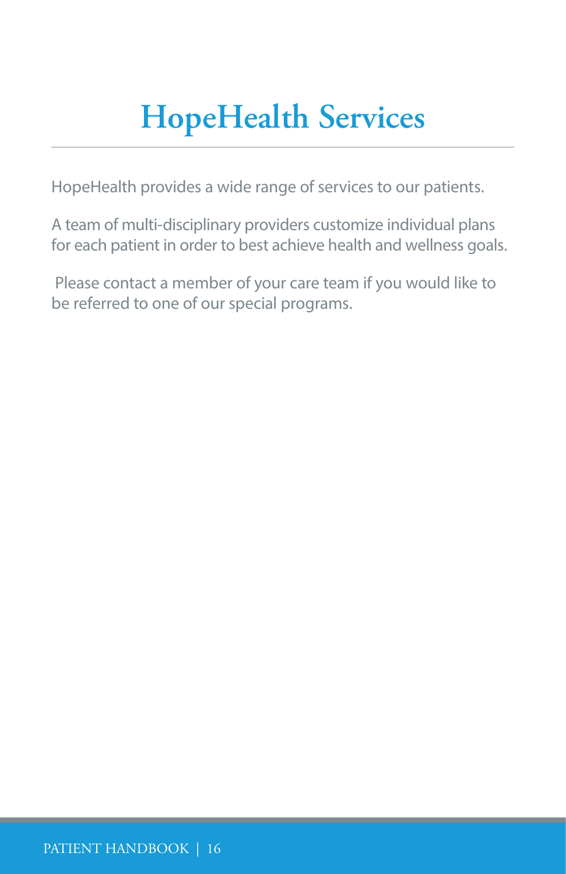## **HopeHealth Services**

HopeHealth provides a wide range of services to our patients.

A team of multi-disciplinary providers customize individual plans for each patient in order to best achieve health and wellness goals.

 Please contact a member of your care team if you would like to be referred to one of our special programs.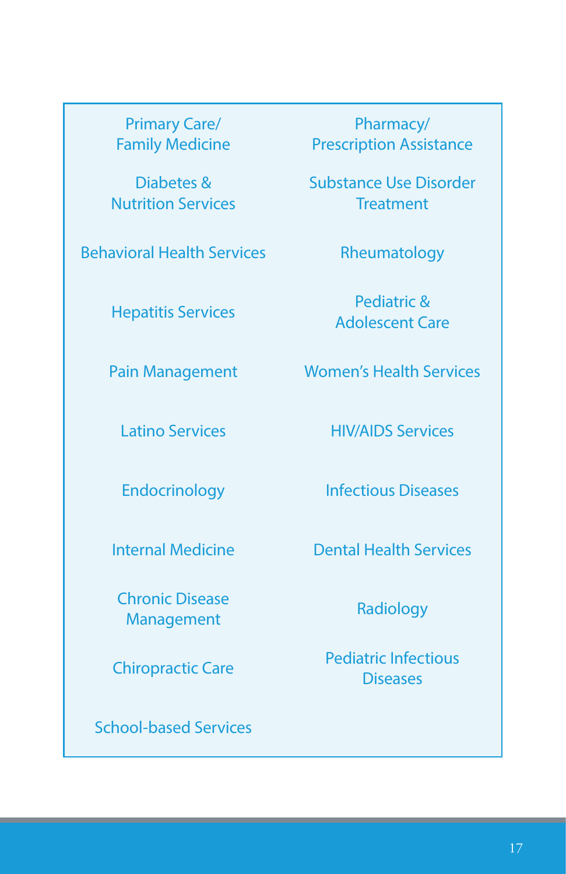Primary Care/ Family Medicine

Diabetes & Nutrition Services

Behavioral Health Services Rheumatology

Chronic Disease Management Radiology

School-based Services

Pharmacy/ Prescription Assistance

Substance Use Disorder **Treatment** 

Hepatitis Services Pediatric & Adolescent Care

Pain Management Women's Health Services

Latino Services HIV/AIDS Services

Endocrinology Infectious Diseases

Internal Medicine Dental Health Services

Chiropractic Care Pediatric Infectious **Diseases**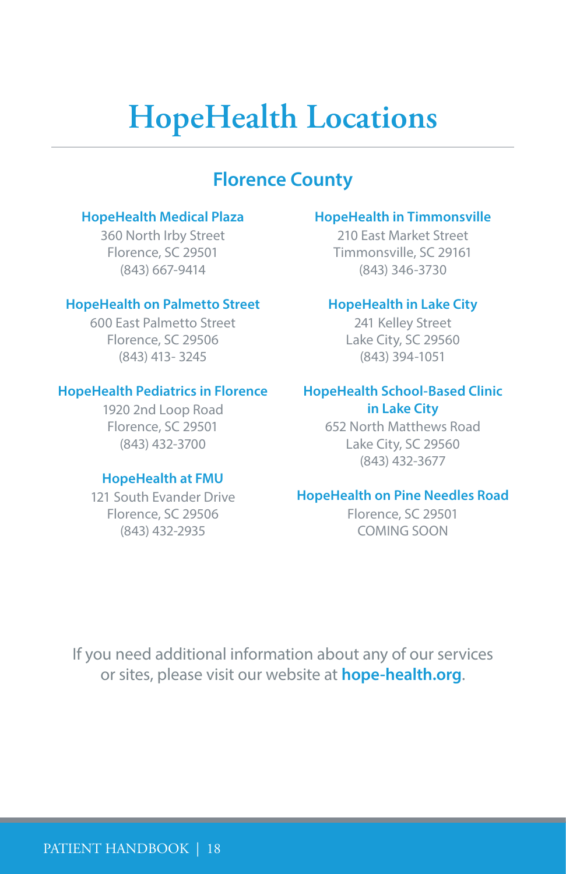### **HopeHealth Locations**

### **Florence County**

#### **HopeHealth Medical Plaza**

360 North Irby Street Florence, SC 29501 (843) 667-9414

#### **HopeHealth on Palmetto Street**

600 East Palmetto Street Florence, SC 29506 (843) 413- 3245

### **HopeHealth Pediatrics in Florence**

1920 2nd Loop Road Florence, SC 29501 (843) 432-3700

#### **HopeHealth at FMU**

121 South Evander Drive Florence, SC 29506 (843) 432-2935

#### **HopeHealth in Timmonsville**

210 East Market Street Timmonsville, SC 29161 (843) 346-3730

#### **HopeHealth in Lake City**

241 Kelley Street Lake City, SC 29560 (843) 394-1051

#### **HopeHealth School-Based Clinic in Lake City**

652 North Matthews Road Lake City, SC 29560 (843) 432-3677

#### **HopeHealth on Pine Needles Road**

Florence, SC 29501 COMING SOON

If you need additional information about any of our services or sites, please visit our website at **hope-health.org**.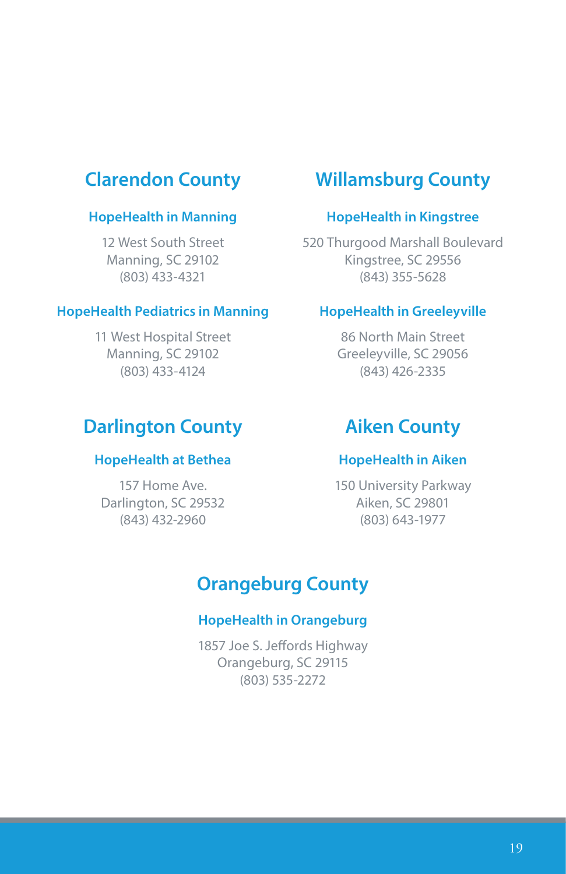### **HopeHealth in Manning**

12 West South Street Manning, SC 29102 (803) 433-4321

#### **HopeHealth Pediatrics in Manning**

11 West Hospital Street Manning, SC 29102 (803) 433-4124

### **Darlington County Aiken County**

#### **HopeHealth at Bethea**

157 Home Ave. Darlington, SC 29532 (843) 432-2960

### **Clarendon County Willamsburg County**

#### **HopeHealth in Kingstree**

520 Thurgood Marshall Boulevard Kingstree, SC 29556 (843) 355-5628

### **HopeHealth in Greeleyville**

86 North Main Street Greeleyville, SC 29056 (843) 426-2335

### **HopeHealth in Aiken**

150 University Parkway Aiken, SC 29801 (803) 643-1977

### **Orangeburg County**

#### **HopeHealth in Orangeburg**

1857 Joe S. Jeffords Highway Orangeburg, SC 29115 (803) 535-2272